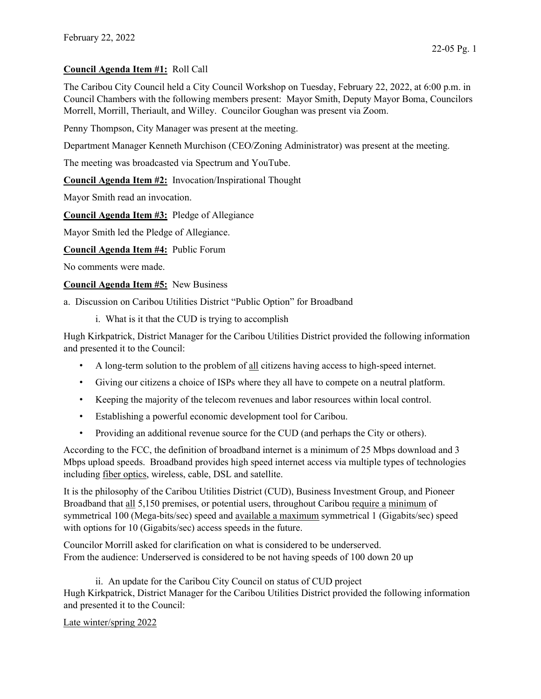## Council Agenda Item #1: Roll Call

The Caribou City Council held a City Council Workshop on Tuesday, February 22, 2022, at 6:00 p.m. in Council Chambers with the following members present: Mayor Smith, Deputy Mayor Boma, Councilors Morrell, Morrill, Theriault, and Willey. Councilor Goughan was present via Zoom.

Penny Thompson, City Manager was present at the meeting.

Department Manager Kenneth Murchison (CEO/Zoning Administrator) was present at the meeting.

The meeting was broadcasted via Spectrum and YouTube.

Council Agenda Item #2: Invocation/Inspirational Thought

Mayor Smith read an invocation.

Council Agenda Item #3: Pledge of Allegiance

Mayor Smith led the Pledge of Allegiance.

Council Agenda Item #4: Public Forum

No comments were made.

Council Agenda Item #5: New Business

a. Discussion on Caribou Utilities District "Public Option" for Broadband

i. What is it that the CUD is trying to accomplish

Hugh Kirkpatrick, District Manager for the Caribou Utilities District provided the following information and presented it to the Council:

- A long-term solution to the problem of all citizens having access to high-speed internet.
- Giving our citizens a choice of ISPs where they all have to compete on a neutral platform.
- Keeping the majority of the telecom revenues and labor resources within local control.
- Establishing a powerful economic development tool for Caribou.
- Providing an additional revenue source for the CUD (and perhaps the City or others).

According to the FCC, the definition of broadband internet is a minimum of 25 Mbps download and 3 Mbps upload speeds. Broadband provides high speed internet access via multiple types of technologies including fiber optics, wireless, cable, DSL and satellite.

It is the philosophy of the Caribou Utilities District (CUD), Business Investment Group, and Pioneer Broadband that all 5,150 premises, or potential users, throughout Caribou require a minimum of symmetrical 100 (Mega-bits/sec) speed and available a maximum symmetrical 1 (Gigabits/sec) speed with options for 10 (Gigabits/sec) access speeds in the future.

Councilor Morrill asked for clarification on what is considered to be underserved. From the audience: Underserved is considered to be not having speeds of 100 down 20 up

 ii. An update for the Caribou City Council on status of CUD project Hugh Kirkpatrick, District Manager for the Caribou Utilities District provided the following information and presented it to the Council:

Late winter/spring 2022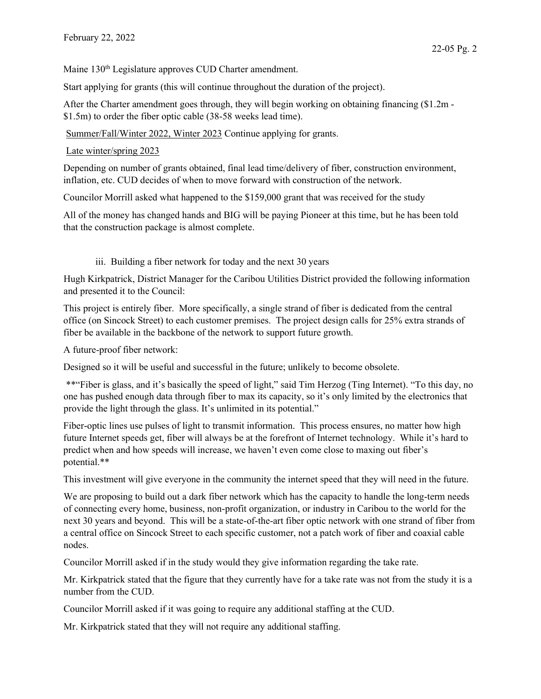Maine 130<sup>th</sup> Legislature approves CUD Charter amendment.

Start applying for grants (this will continue throughout the duration of the project).

After the Charter amendment goes through, they will begin working on obtaining financing (\$1.2m - \$1.5m) to order the fiber optic cable (38-58 weeks lead time).

Summer/Fall/Winter 2022, Winter 2023 Continue applying for grants.

Late winter/spring 2023

Depending on number of grants obtained, final lead time/delivery of fiber, construction environment, inflation, etc. CUD decides of when to move forward with construction of the network.

Councilor Morrill asked what happened to the \$159,000 grant that was received for the study

All of the money has changed hands and BIG will be paying Pioneer at this time, but he has been told that the construction package is almost complete.

## iii. Building a fiber network for today and the next 30 years

Hugh Kirkpatrick, District Manager for the Caribou Utilities District provided the following information and presented it to the Council:

This project is entirely fiber. More specifically, a single strand of fiber is dedicated from the central office (on Sincock Street) to each customer premises. The project design calls for 25% extra strands of fiber be available in the backbone of the network to support future growth.

A future-proof fiber network:

Designed so it will be useful and successful in the future; unlikely to become obsolete.

 \*\*"Fiber is glass, and it's basically the speed of light," said Tim Herzog (Ting Internet). "To this day, no one has pushed enough data through fiber to max its capacity, so it's only limited by the electronics that provide the light through the glass. It's unlimited in its potential."

Fiber-optic lines use pulses of light to transmit information. This process ensures, no matter how high future Internet speeds get, fiber will always be at the forefront of Internet technology. While it's hard to predict when and how speeds will increase, we haven't even come close to maxing out fiber's potential.\*\*

This investment will give everyone in the community the internet speed that they will need in the future.

We are proposing to build out a dark fiber network which has the capacity to handle the long-term needs of connecting every home, business, non-profit organization, or industry in Caribou to the world for the next 30 years and beyond. This will be a state-of-the-art fiber optic network with one strand of fiber from a central office on Sincock Street to each specific customer, not a patch work of fiber and coaxial cable nodes.

Councilor Morrill asked if in the study would they give information regarding the take rate.

Mr. Kirkpatrick stated that the figure that they currently have for a take rate was not from the study it is a number from the CUD.

Councilor Morrill asked if it was going to require any additional staffing at the CUD.

Mr. Kirkpatrick stated that they will not require any additional staffing.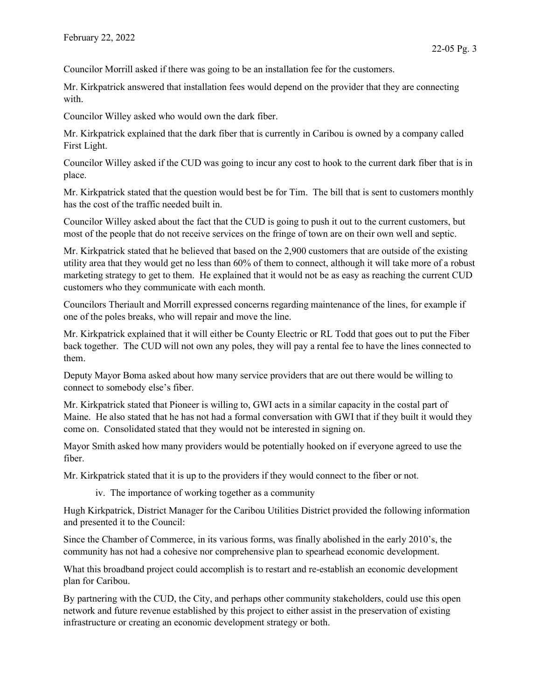Councilor Morrill asked if there was going to be an installation fee for the customers.

Mr. Kirkpatrick answered that installation fees would depend on the provider that they are connecting with.

Councilor Willey asked who would own the dark fiber.

Mr. Kirkpatrick explained that the dark fiber that is currently in Caribou is owned by a company called First Light.

Councilor Willey asked if the CUD was going to incur any cost to hook to the current dark fiber that is in place.

Mr. Kirkpatrick stated that the question would best be for Tim. The bill that is sent to customers monthly has the cost of the traffic needed built in.

Councilor Willey asked about the fact that the CUD is going to push it out to the current customers, but most of the people that do not receive services on the fringe of town are on their own well and septic.

Mr. Kirkpatrick stated that he believed that based on the 2,900 customers that are outside of the existing utility area that they would get no less than 60% of them to connect, although it will take more of a robust marketing strategy to get to them. He explained that it would not be as easy as reaching the current CUD customers who they communicate with each month.

Councilors Theriault and Morrill expressed concerns regarding maintenance of the lines, for example if one of the poles breaks, who will repair and move the line.

Mr. Kirkpatrick explained that it will either be County Electric or RL Todd that goes out to put the Fiber back together. The CUD will not own any poles, they will pay a rental fee to have the lines connected to them.

Deputy Mayor Boma asked about how many service providers that are out there would be willing to connect to somebody else's fiber.

Mr. Kirkpatrick stated that Pioneer is willing to, GWI acts in a similar capacity in the costal part of Maine. He also stated that he has not had a formal conversation with GWI that if they built it would they come on. Consolidated stated that they would not be interested in signing on.

Mayor Smith asked how many providers would be potentially hooked on if everyone agreed to use the fiber.

Mr. Kirkpatrick stated that it is up to the providers if they would connect to the fiber or not.

iv. The importance of working together as a community

Hugh Kirkpatrick, District Manager for the Caribou Utilities District provided the following information and presented it to the Council:

Since the Chamber of Commerce, in its various forms, was finally abolished in the early 2010's, the community has not had a cohesive nor comprehensive plan to spearhead economic development.

What this broadband project could accomplish is to restart and re-establish an economic development plan for Caribou.

By partnering with the CUD, the City, and perhaps other community stakeholders, could use this open network and future revenue established by this project to either assist in the preservation of existing infrastructure or creating an economic development strategy or both.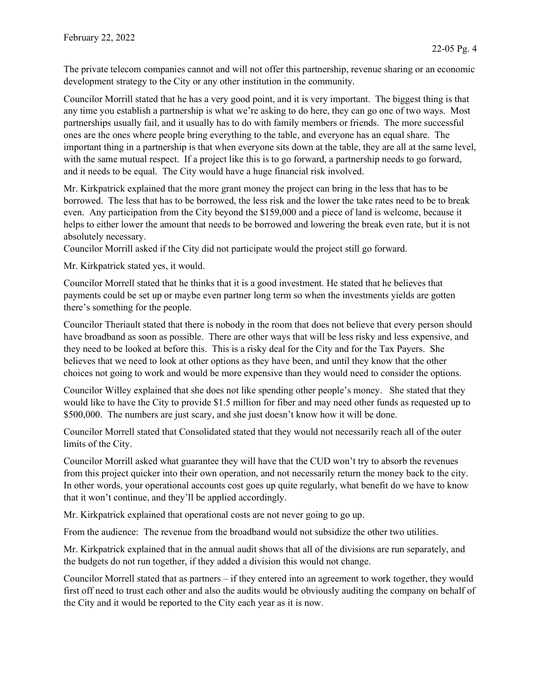The private telecom companies cannot and will not offer this partnership, revenue sharing or an economic development strategy to the City or any other institution in the community.

Councilor Morrill stated that he has a very good point, and it is very important. The biggest thing is that any time you establish a partnership is what we're asking to do here, they can go one of two ways. Most partnerships usually fail, and it usually has to do with family members or friends. The more successful ones are the ones where people bring everything to the table, and everyone has an equal share. The important thing in a partnership is that when everyone sits down at the table, they are all at the same level, with the same mutual respect. If a project like this is to go forward, a partnership needs to go forward, and it needs to be equal. The City would have a huge financial risk involved.

Mr. Kirkpatrick explained that the more grant money the project can bring in the less that has to be borrowed. The less that has to be borrowed, the less risk and the lower the take rates need to be to break even. Any participation from the City beyond the \$159,000 and a piece of land is welcome, because it helps to either lower the amount that needs to be borrowed and lowering the break even rate, but it is not absolutely necessary.

Councilor Morrill asked if the City did not participate would the project still go forward.

Mr. Kirkpatrick stated yes, it would.

Councilor Morrell stated that he thinks that it is a good investment. He stated that he believes that payments could be set up or maybe even partner long term so when the investments yields are gotten there's something for the people.

Councilor Theriault stated that there is nobody in the room that does not believe that every person should have broadband as soon as possible. There are other ways that will be less risky and less expensive, and they need to be looked at before this. This is a risky deal for the City and for the Tax Payers. She believes that we need to look at other options as they have been, and until they know that the other choices not going to work and would be more expensive than they would need to consider the options.

Councilor Willey explained that she does not like spending other people's money. She stated that they would like to have the City to provide \$1.5 million for fiber and may need other funds as requested up to \$500,000. The numbers are just scary, and she just doesn't know how it will be done.

Councilor Morrell stated that Consolidated stated that they would not necessarily reach all of the outer limits of the City.

Councilor Morrill asked what guarantee they will have that the CUD won't try to absorb the revenues from this project quicker into their own operation, and not necessarily return the money back to the city. In other words, your operational accounts cost goes up quite regularly, what benefit do we have to know that it won't continue, and they'll be applied accordingly.

Mr. Kirkpatrick explained that operational costs are not never going to go up.

From the audience: The revenue from the broadband would not subsidize the other two utilities.

Mr. Kirkpatrick explained that in the annual audit shows that all of the divisions are run separately, and the budgets do not run together, if they added a division this would not change.

Councilor Morrell stated that as partners – if they entered into an agreement to work together, they would first off need to trust each other and also the audits would be obviously auditing the company on behalf of the City and it would be reported to the City each year as it is now.